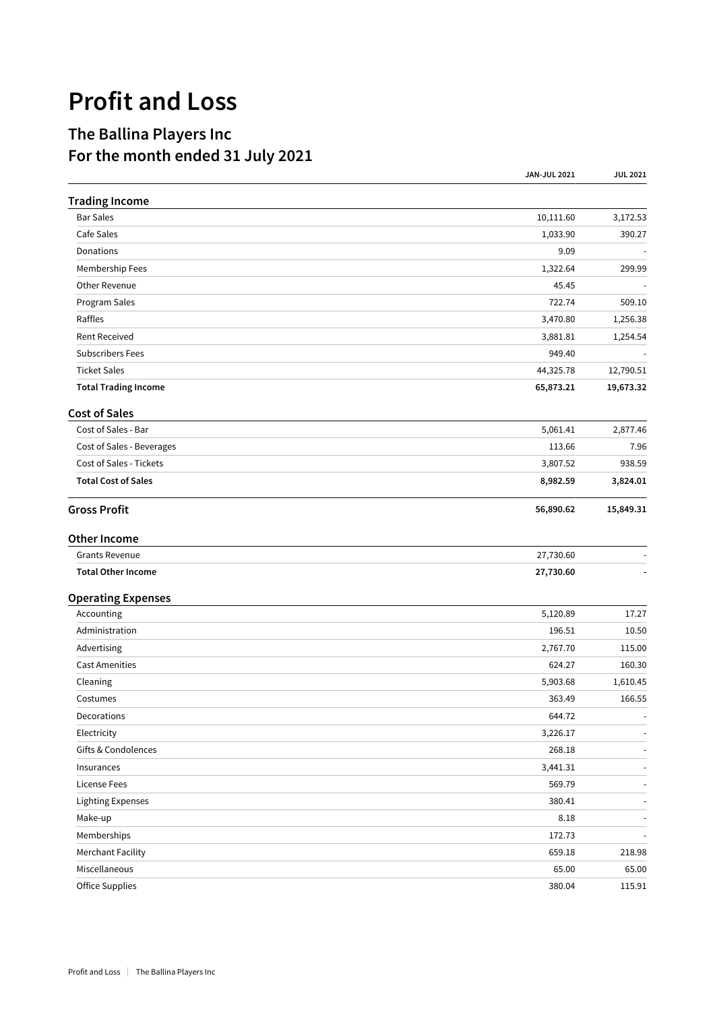## **Profit and Loss**

## **The Ballina Players Inc For the month ended 31 July 2021**

|                             | <b>JAN-JUL 2021</b> | <b>JUL 2021</b>          |
|-----------------------------|---------------------|--------------------------|
| <b>Trading Income</b>       |                     |                          |
| <b>Bar Sales</b>            | 10,111.60           | 3,172.53                 |
| Cafe Sales                  | 1,033.90            | 390.27                   |
| Donations                   | 9.09                |                          |
| Membership Fees             | 1,322.64            | 299.99                   |
| Other Revenue               | 45.45               |                          |
| Program Sales               | 722.74              | 509.10                   |
| Raffles                     | 3,470.80            | 1,256.38                 |
| <b>Rent Received</b>        | 3,881.81            | 1,254.54                 |
| <b>Subscribers Fees</b>     | 949.40              |                          |
| <b>Ticket Sales</b>         | 44,325.78           | 12,790.51                |
| <b>Total Trading Income</b> | 65,873.21           | 19,673.32                |
| <b>Cost of Sales</b>        |                     |                          |
| Cost of Sales - Bar         | 5,061.41            | 2,877.46                 |
| Cost of Sales - Beverages   | 113.66              | 7.96                     |
| Cost of Sales - Tickets     | 3,807.52            | 938.59                   |
| <b>Total Cost of Sales</b>  | 8,982.59            | 3,824.01                 |
| <b>Gross Profit</b>         | 56,890.62           | 15,849.31                |
| <b>Other Income</b>         |                     |                          |
| Grants Revenue              | 27,730.60           |                          |
| <b>Total Other Income</b>   | 27,730.60           |                          |
| <b>Operating Expenses</b>   |                     |                          |
| Accounting                  | 5,120.89            | 17.27                    |
| Administration              | 196.51              | 10.50                    |
| Advertising                 | 2,767.70            | 115.00                   |
| <b>Cast Amenities</b>       | 624.27              | 160.30                   |
| Cleaning                    | 5,903.68            | 1,610.45                 |
| Costumes                    | 363.49              | 166.55                   |
| Decorations                 | 644.72              | $\overline{\phantom{a}}$ |
| Electricity                 | 3,226.17            | $\overline{\phantom{a}}$ |
| Gifts & Condolences         | 268.18              | $\overline{\phantom{a}}$ |
| Insurances                  | 3,441.31            | $\sim$                   |
| <b>License Fees</b>         | 569.79              | $\blacksquare$           |
| <b>Lighting Expenses</b>    | 380.41              | $\overline{a}$           |
| Make-up                     | 8.18                |                          |
| Memberships                 | 172.73              |                          |
| <b>Merchant Facility</b>    | 659.18              | 218.98                   |
| Miscellaneous               | 65.00               | 65.00                    |
| <b>Office Supplies</b>      | 380.04              | 115.91                   |